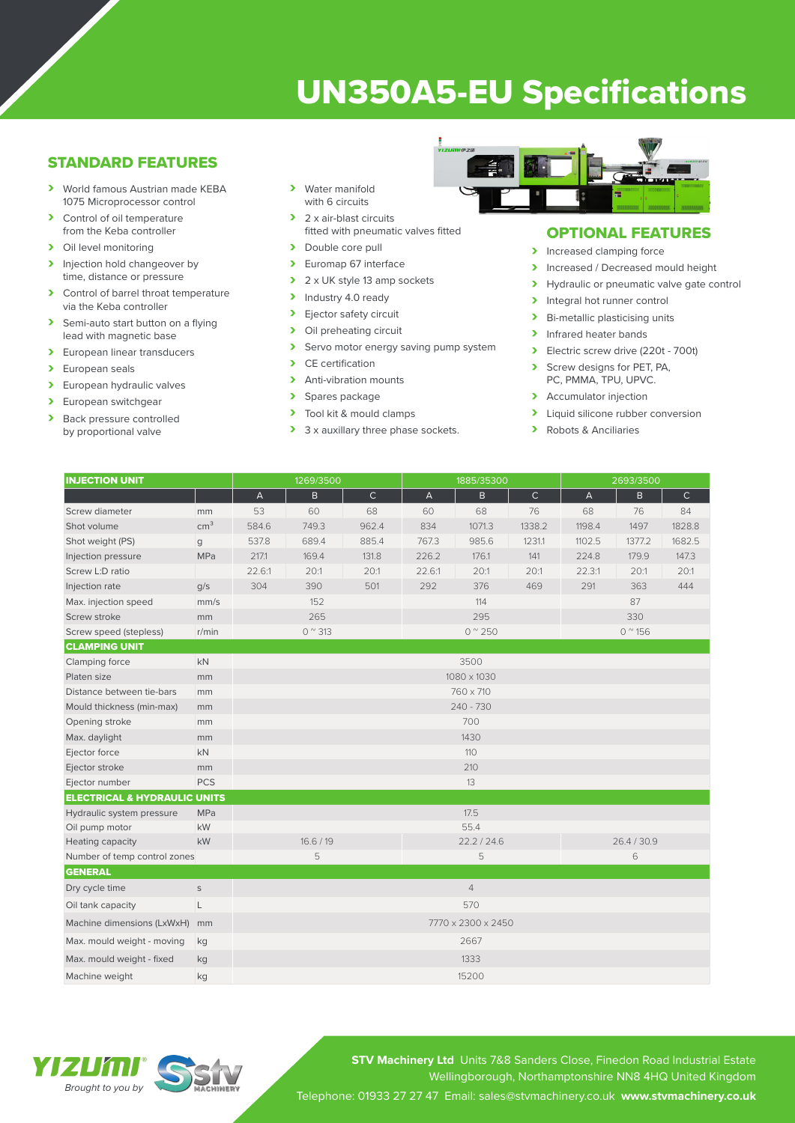# UN350A5-EU Specifications

## STANDARD FEATURES

- › World famous Austrian made KEBA 1075 Microprocessor control
- > Control of oil temperature from the Keba controller
- > Oil level monitoring
- > Injection hold changeover by time, distance or pressure
- > Control of barrel throat temperature via the Keba controller
- > Semi-auto start button on a flying lead with magnetic base
- > European linear transducers
- > European seals
- > European hydraulic valves
- > European switchgear<br>
> Back pressure contro
- Back pressure controlled by proportional valve
- › Water manifold with 6 circuits
- > 2 x air-blast circuits fitted with pneumatic valves fitted
- > Double core pull
- > Euromap 67 interface
- $\geq 2 \times UK$  style 13 amp sockets<br>  $\geq 1$ ndustry 4.0 ready
- Industry 4.0 ready
- > Ejector safety circuit<br>> Oil preheating circuit
- Oil preheating circuit
- > Servo motor energy saving pump system<br>
> CE certification
- CE certification
- > Anti-vibration mounts
- > Spares package<br>> Tool kit & mould
- Tool kit & mould clamps
- > 3 x auxillary three phase sockets.



### OPTIONAL FEATURES

- > Increased clamping force
- Increased / Decreased mould height<br>
Invealing the proportional valve date contract of
- Hydraulic or pneumatic valve gate control
- > Integral hot runner control
- > Bi-metallic plasticising units
- > Infrared heater bands
- > Electric screw drive (220t 700t)
- Screw designs for PET, PA, PC, PMMA, TPU, UPVC.
- > Accumulator injection
- > Liquid silicone rubber conversion
- › Robots & Anciliaries

| <b>INJECTION UNIT</b>                   |                 | 1269/3500                 |           |              | 1885/35300     |        |             | 2693/3500              |        |              |
|-----------------------------------------|-----------------|---------------------------|-----------|--------------|----------------|--------|-------------|------------------------|--------|--------------|
|                                         |                 | $\boldsymbol{\mathsf{A}}$ | B         | $\mathsf{C}$ | $\overline{A}$ | B.     | $\mathsf C$ | $\overline{A}$         | B      | $\mathsf{C}$ |
| Screw diameter                          | mm              | 53                        | 60        | 68           | 60             | 68     | 76          | 68                     | 76     | 84           |
| Shot volume                             | cm <sup>3</sup> | 584.6                     | 749.3     | 962.4        | 834            | 1071.3 | 1338.2      | 1198.4                 | 1497   | 1828.8       |
| Shot weight (PS)                        | g               | 537.8                     | 689.4     | 885.4        | 767.3          | 985.6  | 1231.1      | 1102.5                 | 1377.2 | 1682.5       |
| Injection pressure                      | MPa             | 217.1                     | 169.4     | 131.8        | 226.2          | 176.1  | 141         | 224.8                  | 179.9  | 147.3        |
| Screw L:D ratio                         |                 | 22.6:1                    | 20:1      | 20:1         | 22.6:1         | 20:1   | 20:1        | 22.3:1                 | 20:1   | 20:1         |
| Injection rate                          | q/s             | 304                       | 390       | 501          | 292            | 376    | 469         | 291                    | 363    | 444          |
| Max. injection speed                    | mm/s            |                           | 152       |              |                | 114    |             |                        | 87     |              |
| Screw stroke                            | mm              | 265                       |           |              | 295            |        |             | 330                    |        |              |
| Screw speed (stepless)                  | r/min           | $0^{\circ}313$            |           |              | $0^{\circ}250$ |        |             | $0^{\prime\prime}$ 156 |        |              |
| <b>CLAMPING UNIT</b>                    |                 |                           |           |              |                |        |             |                        |        |              |
| Clamping force                          | <b>kN</b>       | 3500                      |           |              |                |        |             |                        |        |              |
| Platen size                             | mm              | 1080 x 1030               |           |              |                |        |             |                        |        |              |
| Distance between tie-bars               | mm              |                           | 760 x 710 |              |                |        |             |                        |        |              |
| Mould thickness (min-max)               | mm              | $240 - 730$               |           |              |                |        |             |                        |        |              |
| Opening stroke                          | mm              | 700                       |           |              |                |        |             |                        |        |              |
| Max. daylight                           | mm              |                           |           |              |                | 1430   |             |                        |        |              |
| Ejector force                           | kN              |                           |           |              | 110            |        |             |                        |        |              |
| Ejector stroke                          | mm              |                           |           |              | 210            |        |             |                        |        |              |
| Ejector number                          | <b>PCS</b>      |                           |           |              | 13             |        |             |                        |        |              |
| <b>ELECTRICAL &amp; HYDRAULIC UNITS</b> |                 |                           |           |              |                |        |             |                        |        |              |
| Hydraulic system pressure               | <b>MPa</b>      |                           |           |              |                | 17.5   |             |                        |        |              |
| Oil pump motor                          | kW              |                           |           |              | 55.4           |        |             |                        |        |              |
| Heating capacity                        | kW              | 16.6 / 19                 |           |              | 22.2 / 24.6    |        |             | 26.4 / 30.9            |        |              |
| Number of temp control zones            | 5               |                           |           | 5            |                |        | 6           |                        |        |              |
| <b>GENERAL</b>                          |                 |                           |           |              |                |        |             |                        |        |              |
| Dry cycle time                          | $\mathsf S$     | $\overline{4}$            |           |              |                |        |             |                        |        |              |
| Oil tank capacity                       | L               | 570                       |           |              |                |        |             |                        |        |              |
| Machine dimensions (LxWxH)              | mm              | 7770 x 2300 x 2450        |           |              |                |        |             |                        |        |              |
| Max. mould weight - moving              | kg              | 2667                      |           |              |                |        |             |                        |        |              |
| Max. mould weight - fixed               | kg              | 1333                      |           |              |                |        |             |                        |        |              |
| Machine weight                          | kg              |                           |           |              | 15200          |        |             |                        |        |              |

YEZEKTE *Brought to you by*



**STV Machinery Ltd** Units 7&8 Sanders Close, Finedon Road Industrial Estate Wellingborough, Northamptonshire NN8 4HQ United Kingdom Telephone: 01933 27 27 47 Email: sales@stvmachinery.co.uk **www.stvmachinery.co.uk**